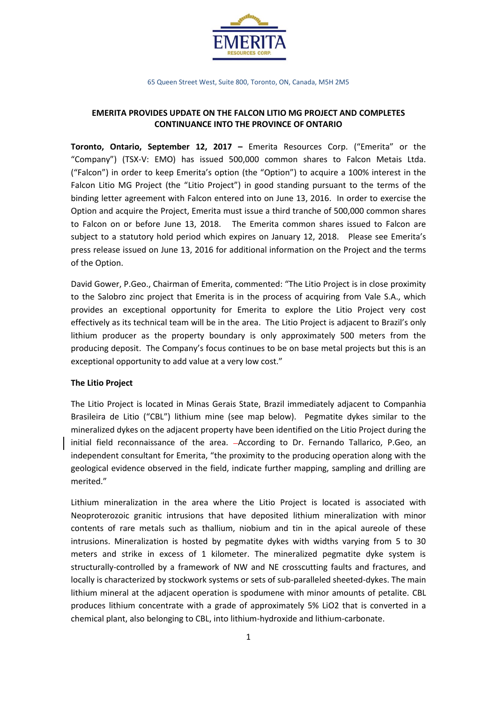

65 Queen Street West, Suite 800, Toronto, ON, Canada, M5H 2M5

# **EMERITA PROVIDES UPDATE ON THE FALCON LITIO MG PROJECT AND COMPLETES CONTINUANCE INTO THE PROVINCE OF ONTARIO**

**Toronto, Ontario, September 12, 2017 –** Emerita Resources Corp. ("Emerita" or the "Company") (TSX-V: EMO) has issued 500,000 common shares to Falcon Metais Ltda. ("Falcon") in order to keep Emerita's option (the "Option") to acquire a 100% interest in the Falcon Litio MG Project (the "Litio Project") in good standing pursuant to the terms of the binding letter agreement with Falcon entered into on June 13, 2016. In order to exercise the Option and acquire the Project, Emerita must issue a third tranche of 500,000 common shares to Falcon on or before June 13, 2018. The Emerita common shares issued to Falcon are subject to a statutory hold period which expires on January 12, 2018. Please see Emerita's press release issued on June 13, 2016 for additional information on the Project and the terms of the Option.

David Gower, P.Geo., Chairman of Emerita, commented: "The Litio Project is in close proximity to the Salobro zinc project that Emerita is in the process of acquiring from Vale S.A., which provides an exceptional opportunity for Emerita to explore the Litio Project very cost effectively as its technical team will be in the area. The Litio Project is adjacent to Brazil's only lithium producer as the property boundary is only approximately 500 meters from the producing deposit. The Company's focus continues to be on base metal projects but this is an exceptional opportunity to add value at a very low cost."

### **The Litio Project**

The Litio Project is located in Minas Gerais State, Brazil immediately adjacent to Companhia Brasileira de Litio ("CBL") lithium mine (see map below). Pegmatite dykes similar to the mineralized dykes on the adjacent property have been identified on the Litio Project during the initial field reconnaissance of the area. According to Dr. Fernando Tallarico, P.Geo, an independent consultant for Emerita, "the proximity to the producing operation along with the geological evidence observed in the field, indicate further mapping, sampling and drilling are merited."

Lithium mineralization in the area where the Litio Project is located is associated with Neoproterozoic granitic intrusions that have deposited lithium mineralization with minor contents of rare metals such as thallium, niobium and tin in the apical aureole of these intrusions. Mineralization is hosted by pegmatite dykes with widths varying from 5 to 30 meters and strike in excess of 1 kilometer. The mineralized pegmatite dyke system is structurally-controlled by a framework of NW and NE crosscutting faults and fractures, and locally is characterized by stockwork systems or sets of sub-paralleled sheeted-dykes. The main lithium mineral at the adjacent operation is spodumene with minor amounts of petalite. CBL produces lithium concentrate with a grade of approximately 5% LiO2 that is converted in a chemical plant, also belonging to CBL, into lithium-hydroxide and lithium-carbonate.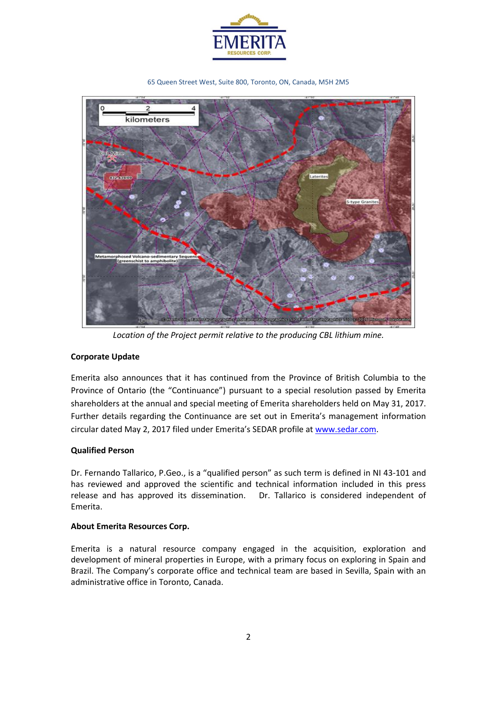

65 Queen Street West, Suite 800, Toronto, ON, Canada, M5H 2M5



*Location of the Project permit relative to the producing CBL lithium mine.*

## **Corporate Update**

Emerita also announces that it has continued from the Province of British Columbia to the Province of Ontario (the "Continuance") pursuant to a special resolution passed by Emerita shareholders at the annual and special meeting of Emerita shareholders held on May 31, 2017. Further details regarding the Continuance are set out in Emerita's management information circular dated May 2, 2017 filed under Emerita's SEDAR profile at [www.sedar.com.](http://www.sedar.com/)

### **Qualified Person**

Dr. Fernando Tallarico, P.Geo., is a "qualified person" as such term is defined in NI 43-101 and has reviewed and approved the scientific and technical information included in this press release and has approved its dissemination. Dr. Tallarico is considered independent of Emerita.

### **About Emerita Resources Corp.**

Emerita is a natural resource company engaged in the acquisition, exploration and development of mineral properties in Europe, with a primary focus on exploring in Spain and Brazil. The Company's corporate office and technical team are based in Sevilla, Spain with an administrative office in Toronto, Canada.